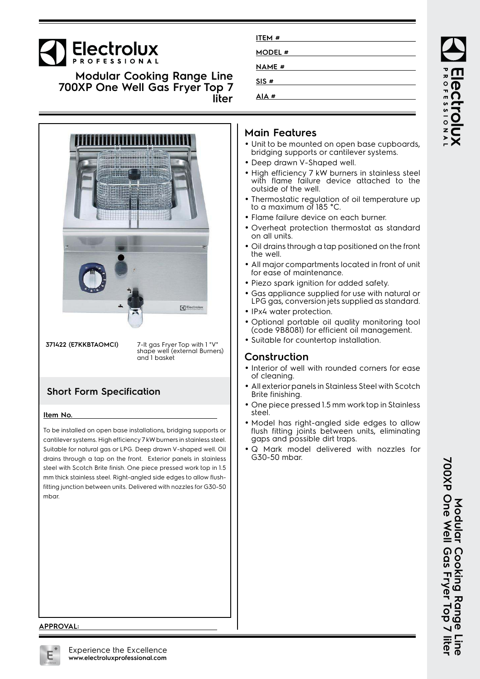# Electrolux

**Modular Cooking Range Line 700XP One Well Gas Fryer Top 7 liter**



**371422 (E7KKBTAOMCI)** 7-lt gas Fryer Top with 1 "V" shape well (external Burners) and 1 basket

## **Short Form Specification**

#### **Item No.**

To be installed on open base installations, bridging supports or cantilever systems. High efficiency 7 kW burners in stainless steel. Suitable for natural gas or LPG. Deep drawn V-shaped well. Oil drains through a tap on the front. Exterior panels in stainless steel with Scotch Brite finish. One piece pressed work top in 1.5 mm thick stainless steel. Right-angled side edges to allow flushfitting junction between units. Delivered with nozzles for G30-50 mbar.

| ITEM #        |  |
|---------------|--|
| <b>MODEL#</b> |  |
| <b>NAME #</b> |  |
| SIS#          |  |
| AIA#          |  |
|               |  |

## **Main Features**

- Unit to be mounted on open base cupboards, bridging supports or cantilever systems.
- Deep drawn V-Shaped well.
- High efficiency 7 kW burners in stainless steel with flame failure device attached to the outside of the well.
- • Thermostatic regulation of oil temperature up to a maximum of 185 °C.
- Flame failure device on each burner.
- Overheat protection thermostat as standard on all units.
- • Oil drains through a tap positioned on the front the well.
- • All major compartments located in front of unit for ease of maintenance.
- Piezo spark ignition for added safety.
- • Gas appliance supplied for use with natural or LPG gas, conversion jets supplied as standard.
- IPx4 water protection.
- Optional portable oil quality monitoring tool (code 9B8081) for efficient oil management.
- Suitable for countertop installation.

### **Construction**

- Interior of well with rounded corners for ease of cleaning.
- • All exterior panels in Stainless Steel with Scotch Brite finishing.
- • One piece pressed 1.5 mm work top in Stainless steel.
- • Model has right-angled side edges to allow flush fitting joints between units, eliminating gaps and possible dirt traps.
- • Q Mark model delivered with nozzles for G30-50 mbar.

ROFESSIONA

#### **APPROVAL:**

Modular Cooking Range and Ager Top 7 **700XP One Well Gas Fryer Top 7 liter Modular Cooking Range Line Iliter**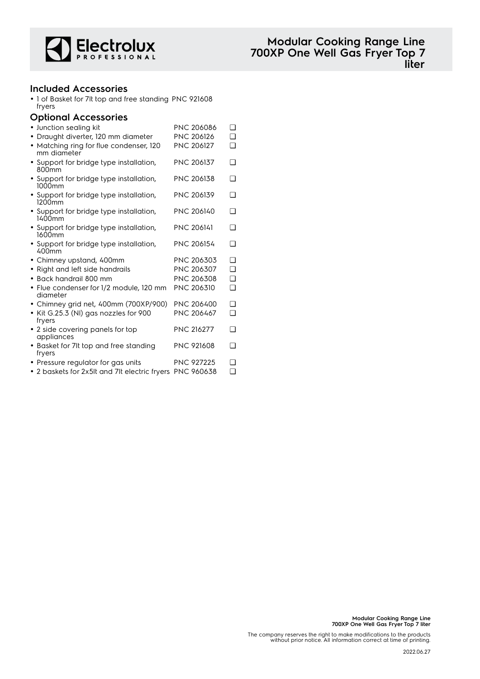

### **Included Accessories**

• 1 of Basket for 7lt top and free standing PNC 921608 fryers

#### **Optional Accessories**

| · Junction sealing kit                                       | <b>PNC 206086</b> | <b>□</b> |
|--------------------------------------------------------------|-------------------|----------|
| • Draught diverter, 120 mm diameter                          | PNC 206126        | <b>□</b> |
| • Matching ring for flue condenser, 120<br>mm diameter       | <b>PNC 206127</b> | ◻        |
| • Support for bridge type installation,<br>800 <sub>mm</sub> | PNC 206137        | ❏        |
| • Support for bridge type installation,<br>1000mm            | <b>PNC 206138</b> | ∩        |
| • Support for bridge type installation,<br>1200mm            | <b>PNC 206139</b> | <b>□</b> |
| • Support for bridge type installation,<br>1400mm            | <b>PNC 206140</b> | <b>□</b> |
| • Support for bridge type installation,<br>1600mm            | <b>PNC 206141</b> | <b>□</b> |
| • Support for bridge type installation,<br>$400$ mm          | PNC 206154        | ❏        |
| • Chimney upstand, 400mm                                     | PNC 206303        | <b>□</b> |
| Right and left side handrails<br>$\bullet$                   | PNC 206307        | ❏        |
| Back handrail 800 mm<br>$\bullet$                            | PNC 206308        | ◻        |
| • Flue condenser for 1/2 module, 120 mm<br>diameter          | PNC 206310        | <b>□</b> |
| • Chimney grid net, 400mm (700XP/900)                        | <b>PNC 206400</b> | <b>□</b> |
| Kit G.25.3 (NI) gas nozzles for 900<br>$\bullet$<br>fryers   | PNC 206467        | <b>□</b> |
| • 2 side covering panels for top<br>appliances               | <b>PNC 216277</b> | ❏        |
| • Basket for 7It top and free standing<br>fryers             | <b>PNC 921608</b> | <b>□</b> |
| • Pressure regulator for gas units                           | <b>PNC 927225</b> | ℶ        |
| 2 bookshe fax 2vElt and 74 slacking from DNC 040470          |                   | n.       |

• 2 baskets for 2x5lt and 7lt electric fryers PNC 960638 ❑